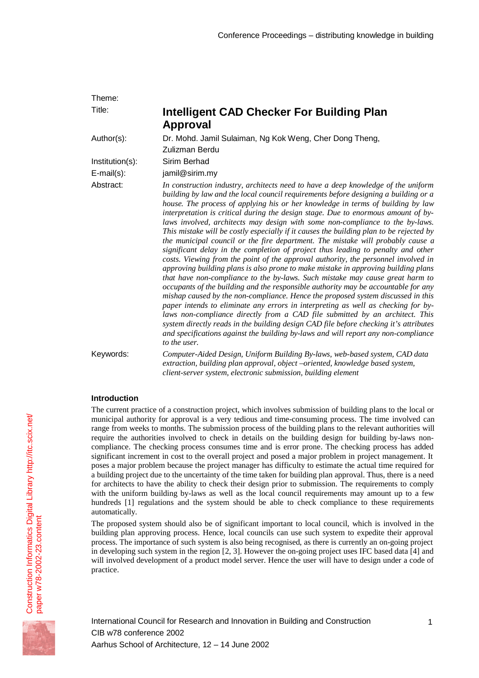| Theme:                               |                                                                                                                                                                                                                                                                                                                                                                                                                                                                                                                                                                                                                                                                                                                                                                                                                                                                                                                                                                                                                                                                                                                                                                                                                                                                                                                                                                                                                                                                                                                |
|--------------------------------------|----------------------------------------------------------------------------------------------------------------------------------------------------------------------------------------------------------------------------------------------------------------------------------------------------------------------------------------------------------------------------------------------------------------------------------------------------------------------------------------------------------------------------------------------------------------------------------------------------------------------------------------------------------------------------------------------------------------------------------------------------------------------------------------------------------------------------------------------------------------------------------------------------------------------------------------------------------------------------------------------------------------------------------------------------------------------------------------------------------------------------------------------------------------------------------------------------------------------------------------------------------------------------------------------------------------------------------------------------------------------------------------------------------------------------------------------------------------------------------------------------------------|
| Title:                               | <b>Intelligent CAD Checker For Building Plan</b><br><b>Approval</b>                                                                                                                                                                                                                                                                                                                                                                                                                                                                                                                                                                                                                                                                                                                                                                                                                                                                                                                                                                                                                                                                                                                                                                                                                                                                                                                                                                                                                                            |
| Author(s):                           | Dr. Mohd. Jamil Sulaiman, Ng Kok Weng, Cher Dong Theng,<br>Zulizman Berdu                                                                                                                                                                                                                                                                                                                                                                                                                                                                                                                                                                                                                                                                                                                                                                                                                                                                                                                                                                                                                                                                                                                                                                                                                                                                                                                                                                                                                                      |
| Institution(s):<br>$E$ -mail $(s)$ : | Sirim Berhad<br>jamil@sirim.my                                                                                                                                                                                                                                                                                                                                                                                                                                                                                                                                                                                                                                                                                                                                                                                                                                                                                                                                                                                                                                                                                                                                                                                                                                                                                                                                                                                                                                                                                 |
| Abstract:                            | In construction industry, architects need to have a deep knowledge of the uniform<br>building by law and the local council requirements before designing a building or a<br>house. The process of applying his or her knowledge in terms of building by law<br>interpretation is critical during the design stage. Due to enormous amount of by-<br>laws involved, architects may design with some non-compliance to the by-laws.<br>This mistake will be costly especially if it causes the building plan to be rejected by<br>the municipal council or the fire department. The mistake will probably cause a<br>significant delay in the completion of project thus leading to penalty and other<br>costs. Viewing from the point of the approval authority, the personnel involved in<br>approving building plans is also prone to make mistake in approving building plans<br>that have non-compliance to the by-laws. Such mistake may cause great harm to<br>occupants of the building and the responsible authority may be accountable for any<br>mishap caused by the non-compliance. Hence the proposed system discussed in this<br>paper intends to eliminate any errors in interpreting as well as checking for by-<br>laws non-compliance directly from a CAD file submitted by an architect. This<br>system directly reads in the building design CAD file before checking it's attributes<br>and specifications against the building by-laws and will report any non-compliance<br>to the user. |
| Keywords:                            | Computer-Aided Design, Uniform Building By-laws, web-based system, CAD data<br>extraction, building plan approval, object-oriented, knowledge based system,<br>client-server system, electronic submission, building element                                                                                                                                                                                                                                                                                                                                                                                                                                                                                                                                                                                                                                                                                                                                                                                                                                                                                                                                                                                                                                                                                                                                                                                                                                                                                   |

# **Introduction**

The current practice of a construction project, which involves submission of building plans to the local or municipal authority for approval is a very tedious and time-consuming process. The time involved can range from weeks to months. The submission process of the building plans to the relevant authorities will require the authorities involved to check in details on the building design for building by-laws noncompliance. The checking process consumes time and is error prone. The checking process has added significant increment in cost to the overall project and posed a major problem in project management. It poses a major problem because the project manager has difficulty to estimate the actual time required for a building project due to the uncertainty of the time taken for building plan approval. Thus, there is a need for architects to have the ability to check their design prior to submission. The requirements to comply with the uniform building by-laws as well as the local council requirements may amount up to a few hundreds [1] regulations and the system should be able to check compliance to these requirements automatically.

The proposed system should also be of significant important to local council, which is involved in the building plan approving process. Hence, local councils can use such system to expedite their approval process. The importance of such system is also being recognised, as there is currently an on-going project in developing such system in the region [2, 3]. However the on-going project uses IFC based data [4] and will involved development of a product model server. Hence the user will have to design under a code of practice.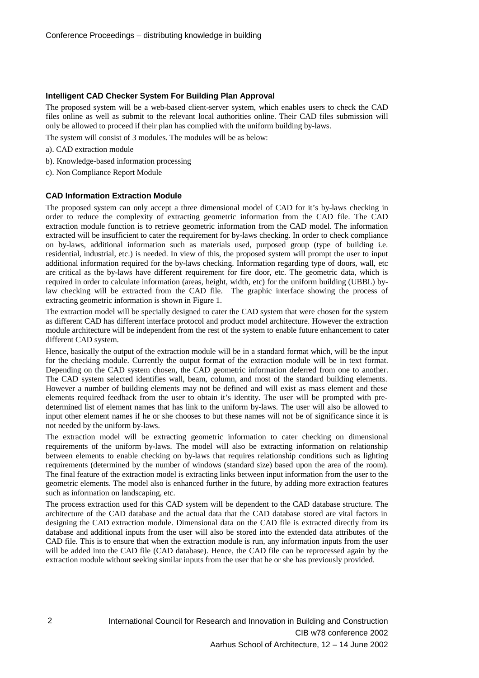## **Intelligent CAD Checker System For Building Plan Approval**

The proposed system will be a web-based client-server system, which enables users to check the CAD files online as well as submit to the relevant local authorities online. Their CAD files submission will only be allowed to proceed if their plan has complied with the uniform building by-laws.

The system will consist of 3 modules. The modules will be as below:

- a). CAD extraction module
- b). Knowledge-based information processing
- c). Non Compliance Report Module

## **CAD Information Extraction Module**

The proposed system can only accept a three dimensional model of CAD for it's by-laws checking in order to reduce the complexity of extracting geometric information from the CAD file. The CAD extraction module function is to retrieve geometric information from the CAD model. The information extracted will be insufficient to cater the requirement for by-laws checking. In order to check compliance on by-laws, additional information such as materials used, purposed group (type of building i.e. residential, industrial, etc.) is needed. In view of this, the proposed system will prompt the user to input additional information required for the by-laws checking. Information regarding type of doors, wall, etc are critical as the by-laws have different requirement for fire door, etc. The geometric data, which is required in order to calculate information (areas, height, width, etc) for the uniform building (UBBL) bylaw checking will be extracted from the CAD file. The graphic interface showing the process of extracting geometric information is shown in Figure 1.

The extraction model will be specially designed to cater the CAD system that were chosen for the system as different CAD has different interface protocol and product model architecture. However the extraction module architecture will be independent from the rest of the system to enable future enhancement to cater different CAD system.

Hence, basically the output of the extraction module will be in a standard format which, will be the input for the checking module. Currently the output format of the extraction module will be in text format. Depending on the CAD system chosen, the CAD geometric information deferred from one to another. The CAD system selected identifies wall, beam, column, and most of the standard building elements. However a number of building elements may not be defined and will exist as mass element and these elements required feedback from the user to obtain it's identity. The user will be prompted with predetermined list of element names that has link to the uniform by-laws. The user will also be allowed to input other element names if he or she chooses to but these names will not be of significance since it is not needed by the uniform by-laws.

The extraction model will be extracting geometric information to cater checking on dimensional requirements of the uniform by-laws. The model will also be extracting information on relationship between elements to enable checking on by-laws that requires relationship conditions such as lighting requirements (determined by the number of windows (standard size) based upon the area of the room). The final feature of the extraction model is extracting links between input information from the user to the geometric elements. The model also is enhanced further in the future, by adding more extraction features such as information on landscaping, etc.

The process extraction used for this CAD system will be dependent to the CAD database structure. The architecture of the CAD database and the actual data that the CAD database stored are vital factors in designing the CAD extraction module. Dimensional data on the CAD file is extracted directly from its database and additional inputs from the user will also be stored into the extended data attributes of the CAD file. This is to ensure that when the extraction module is run, any information inputs from the user will be added into the CAD file (CAD database). Hence, the CAD file can be reprocessed again by the extraction module without seeking similar inputs from the user that he or she has previously provided.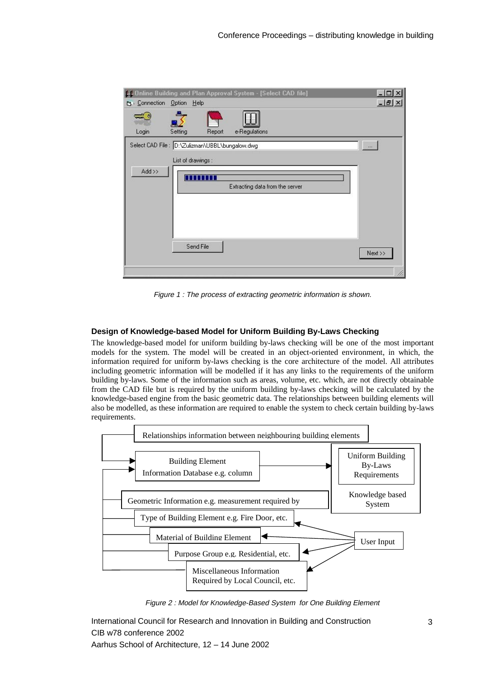| 44 Online Building and Plan Approval System - [Select CAD file] |                    |                 |               |                                 |  | $ \Box$ $\times$ |
|-----------------------------------------------------------------|--------------------|-----------------|---------------|---------------------------------|--|------------------|
| <b>B</b> Connection Option Help                                 |                    |                 |               |                                 |  | $ B$ $\times$    |
|                                                                 |                    |                 |               |                                 |  |                  |
| Login                                                           | Setting            | Report          | e-Regulations |                                 |  |                  |
| Select CAD File : D:\Zulizman\UBBL\bungalow.dwg                 |                    |                 |               |                                 |  | $\cdots$         |
|                                                                 | List of drawings : |                 |               |                                 |  |                  |
| $Add \gg$                                                       |                    |                 |               |                                 |  |                  |
|                                                                 |                    | <b>BULLET 1</b> |               |                                 |  |                  |
|                                                                 |                    |                 |               | Extracting data from the server |  |                  |
|                                                                 |                    |                 |               |                                 |  |                  |
|                                                                 |                    |                 |               |                                 |  |                  |
|                                                                 |                    |                 |               |                                 |  |                  |
|                                                                 |                    |                 |               |                                 |  |                  |
|                                                                 |                    | Send File       |               |                                 |  |                  |
|                                                                 |                    |                 |               |                                 |  | Next >>          |
|                                                                 |                    |                 |               |                                 |  |                  |
|                                                                 |                    |                 |               |                                 |  |                  |

Figure 1 : The process of extracting geometric information is shown.

## **Design of Knowledge-based Model for Uniform Building By-Laws Checking**

The knowledge-based model for uniform building by-laws checking will be one of the most important models for the system. The model will be created in an object-oriented environment, in which, the information required for uniform by-laws checking is the core architecture of the model. All attributes including geometric information will be modelled if it has any links to the requirements of the uniform building by-laws. Some of the information such as areas, volume, etc. which, are not directly obtainable from the CAD file but is required by the uniform building by-laws checking will be calculated by the knowledge-based engine from the basic geometric data. The relationships between building elements will also be modelled, as these information are required to enable the system to check certain building by-laws requirements.



Figure 2 : Model for Knowledge-Based System for One Building Element

International Council for Research and Innovation in Building and Construction CIB w78 conference 2002

Aarhus School of Architecture, 12 – 14 June 2002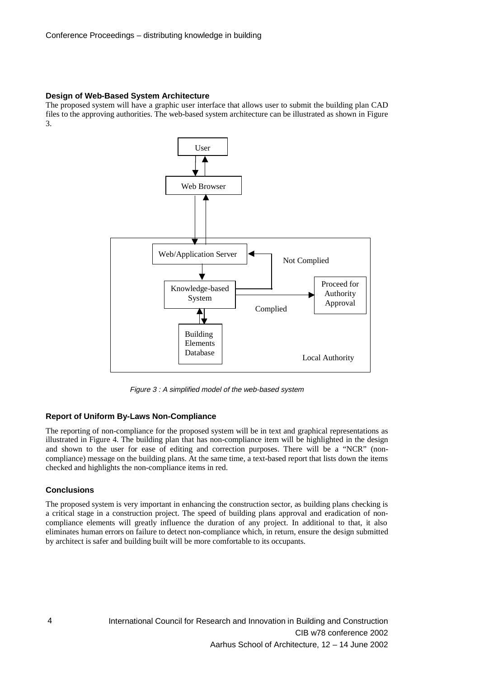## **Design of Web-Based System Architecture**

The proposed system will have a graphic user interface that allows user to submit the building plan CAD files to the approving authorities. The web-based system architecture can be illustrated as shown in Figure 3.



Figure 3 : A simplified model of the web-based system

## **Report of Uniform By-Laws Non-Compliance**

The reporting of non-compliance for the proposed system will be in text and graphical representations as illustrated in Figure 4. The building plan that has non-compliance item will be highlighted in the design and shown to the user for ease of editing and correction purposes. There will be a "NCR" (noncompliance) message on the building plans. At the same time, a text-based report that lists down the items checked and highlights the non-compliance items in red.

## **Conclusions**

The proposed system is very important in enhancing the construction sector, as building plans checking is a critical stage in a construction project. The speed of building plans approval and eradication of noncompliance elements will greatly influence the duration of any project. In additional to that, it also eliminates human errors on failure to detect non-compliance which, in return, ensure the design submitted by architect is safer and building built will be more comfortable to its occupants.